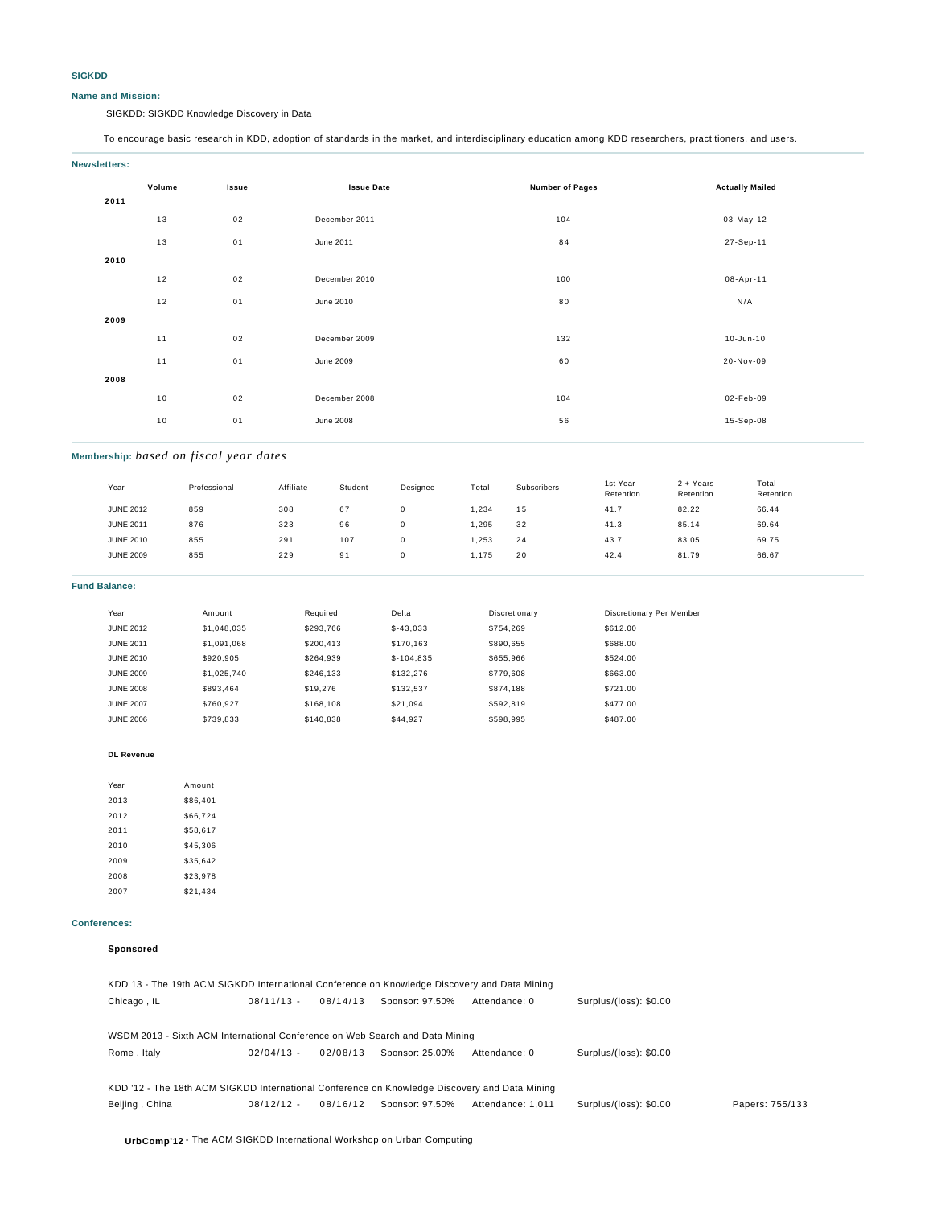### **SIGKDD**

### **Name and Mission:**

SIGKDD: SIGKDD Knowledge Discovery in Data

To encourage basic research in KDD, adoption of standards in the market, and interdisciplinary education among KDD researchers, practitioners, and users.

| Newsletters: |
|--------------|
|              |
|              |

| Volume<br><b>Issue Date</b><br>Issue<br>2011 |    |                  | <b>Number of Pages</b> | <b>Actually Mailed</b> |
|----------------------------------------------|----|------------------|------------------------|------------------------|
| 13                                           | 02 | December 2011    | 104                    | 03-May-12              |
| 13                                           | 01 | June 2011        | 84                     | 27-Sep-11              |
| 2010                                         |    |                  |                        |                        |
| 12                                           | 02 | December 2010    | 100                    | 08-Apr-11              |
| $12$                                         | 01 | June 2010        | 80                     | N/A                    |
| 2009                                         |    |                  |                        |                        |
| 11                                           | 02 | December 2009    | 132                    | 10-Jun-10              |
| 11                                           | 01 | June 2009        | 60                     | 20-Nov-09              |
| 2008                                         |    |                  |                        |                        |
| 10                                           | 02 | December 2008    | 104                    | 02-Feb-09              |
| $10$                                         | 01 | <b>June 2008</b> | 56                     | 15-Sep-08              |
|                                              |    |                  |                        |                        |

# **Membership:** *based on fiscal year dates*

| Year             | Professional | Affiliate | Student | Designee | Total | Subscribers | 1st Year<br>Retention | 2 + Years<br>Retention | Total<br>Retention |
|------------------|--------------|-----------|---------|----------|-------|-------------|-----------------------|------------------------|--------------------|
| <b>JUNE 2012</b> | 859          | 308       | 67      |          | .234  | 15          | 41.7                  | 82.22                  | 66.44              |
| <b>JUNE 2011</b> | 876          | 323       | 96      |          | ,295  | 32          | 41.3                  | 85.14                  | 69.64              |
| <b>JUNE 2010</b> | 855          | 291       | 107     |          | ,253  | 24          | 43.7                  | 83.05                  | 69.75              |
| <b>JUNE 2009</b> | 855          | 229       | 91      |          | 1,175 | 20          | 42.4                  | 81.79                  | 66.67              |
|                  |              |           |         |          |       |             |                       |                        |                    |

### **Fund Balance:**

| Year             | Amount      | Required  | Delta       | Discretionary | Discretionary Per Member |
|------------------|-------------|-----------|-------------|---------------|--------------------------|
| <b>JUNE 2012</b> | \$1,048,035 | \$293.766 | $$-43.033$  | \$754.269     | \$612.00                 |
| <b>JUNE 2011</b> | \$1.091.068 | \$200.413 | \$170.163   | \$890.655     | \$688.00                 |
| <b>JUNE 2010</b> | \$920,905   | \$264.939 | $$-104.835$ | \$655.966     | \$524.00                 |
| <b>JUNE 2009</b> | \$1,025,740 | \$246.133 | \$132,276   | \$779,608     | \$663.00                 |
| <b>JUNE 2008</b> | \$893.464   | \$19,276  | \$132.537   | \$874.188     | \$721.00                 |
| <b>JUNE 2007</b> | \$760.927   | \$168,108 | \$21.094    | \$592.819     | \$477.00                 |
| <b>JUNE 2006</b> | \$739.833   | \$140.838 | \$44.927    | \$598.995     | \$487.00                 |

#### **DL Revenue**

| Year | Amount   |
|------|----------|
| 2013 | \$86,401 |
| 2012 | \$66,724 |
| 2011 | \$58.617 |
| 2010 | \$45.306 |
| 2009 | \$35.642 |
| 2008 | \$23,978 |
| 2007 | \$21.434 |

### **Conferences:**

### **Sponsored**

| KDD 13 - The 19th ACM SIGKDD International Conference on Knowledge Discovery and Data Mining  |              |          |                 |                   |                        |                 |  |
|-----------------------------------------------------------------------------------------------|--------------|----------|-----------------|-------------------|------------------------|-----------------|--|
| Chicago, IL                                                                                   | $08/11/13 -$ | 08/14/13 | Sponsor: 97.50% | Attendance: 0     | Surplus/(loss): \$0.00 |                 |  |
|                                                                                               |              |          |                 |                   |                        |                 |  |
| WSDM 2013 - Sixth ACM International Conference on Web Search and Data Mining                  |              |          |                 |                   |                        |                 |  |
| Rome, Italy                                                                                   | $02/04/13 -$ | 02/08/13 | Sponsor: 25.00% | Attendance: 0     | Surplus/(loss): \$0.00 |                 |  |
|                                                                                               |              |          |                 |                   |                        |                 |  |
| KDD '12 - The 18th ACM SIGKDD International Conference on Knowledge Discovery and Data Mining |              |          |                 |                   |                        |                 |  |
| Beijing, China                                                                                | $08/12/12 -$ | 08/16/12 | Sponsor: 97.50% | Attendance: 1.011 | Surplus/(loss): \$0.00 | Papers: 755/133 |  |
|                                                                                               |              |          |                 |                   |                        |                 |  |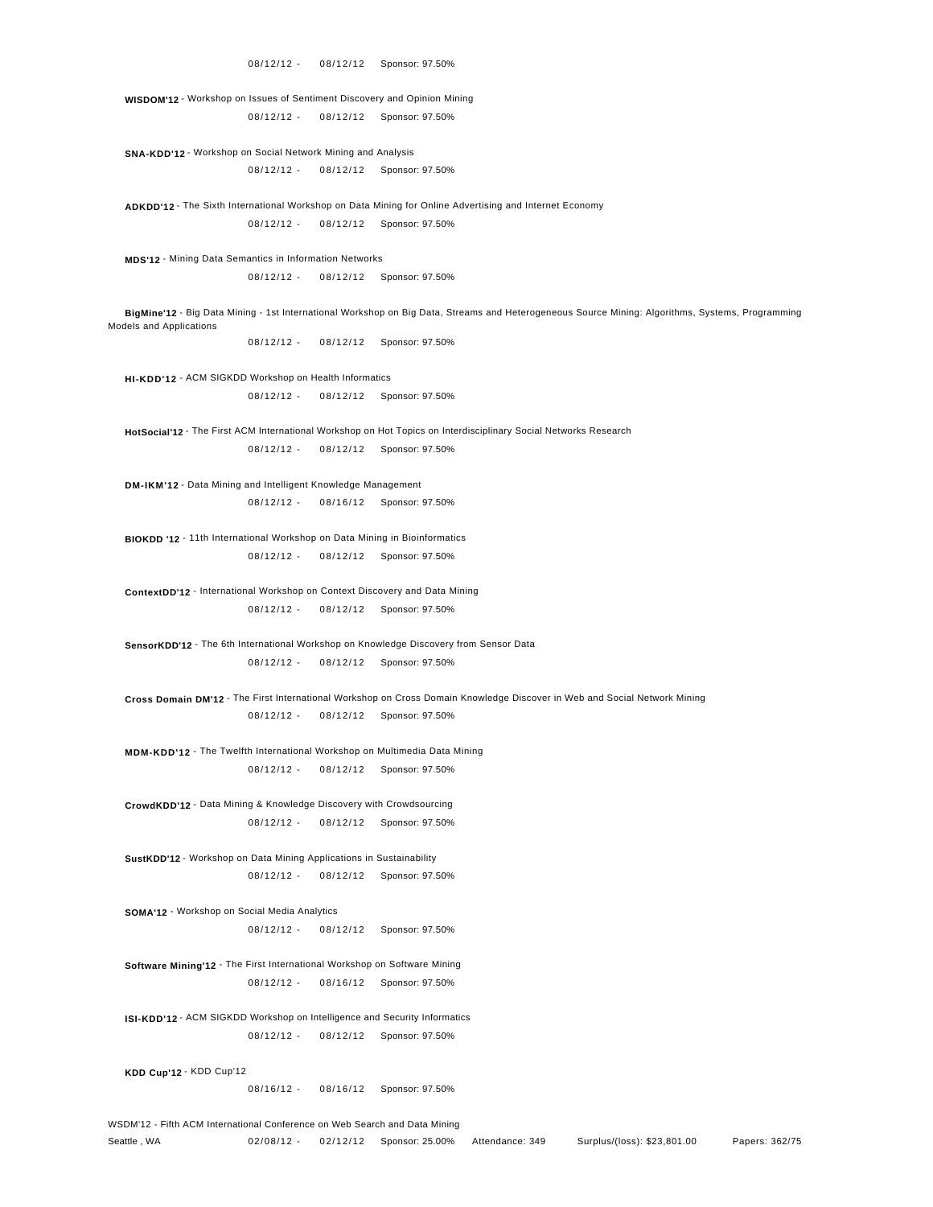**WISDOM'12** - Workshop on Issues of Sentiment Discovery and Opinion Mining 08/12/12 - 08/12/12 Sponsor: 97.50%

 **SNA-KDD'12** - Workshop on Social Network Mining and Analysis 08/12/12 - 08/12/12 Sponsor: 97.50%

 **ADKDD'12** - The Sixth International Workshop on Data Mining for Online Advertising and Internet Economy 08/12/12 - 08/12/12 Sponsor: 97.50%

 **MDS'12** - Mining Data Semantics in Information Networks 08/12/12 - 08/12/12 Sponsor: 97.50%

 **BigMine'12** - Big Data Mining - 1st International Workshop on Big Data, Streams and Heterogeneous Source Mining: Algorithms, Systems, Programming Models and Applications

08/12/12 - 08/12/12 Sponsor: 97.50%

 **HI-KDD'12** - ACM SIGKDD Workshop on Health Informatics 08/12/12 - 08/12/12 Sponsor: 97.50%

 **HotSocial'12** - The First ACM International Workshop on Hot Topics on Interdisciplinary Social Networks Research 08/12/12 - 08/12/12 Sponsor: 97.50%

 **DM-IKM'12** - Data Mining and Intelligent Knowledge Management 08/12/12 - 08/16/12 Sponsor: 97.50%

 **BIOKDD '12** - 11th International Workshop on Data Mining in Bioinformatics 08/12/12 - 08/12/12 Sponsor: 97.50%

 **ContextDD'12** - International Workshop on Context Discovery and Data Mining 08/12/12 - 08/12/12 Sponsor: 97.50%

 **SensorKDD'12** - The 6th International Workshop on Knowledge Discovery from Sensor Data 08/12/12 - 08/12/12 Sponsor: 97.50%

 **Cross Domain DM'12** - The First International Workshop on Cross Domain Knowledge Discover in Web and Social Network Mining 08/12/12 - 08/12/12 Sponsor: 97.50%

 **MDM-KDD'12** - The Twelfth International Workshop on Multimedia Data Mining 08/12/12 - 08/12/12 Sponsor: 97.50%

 **CrowdKDD'12** - Data Mining & Knowledge Discovery with Crowdsourcing 08/12/12 - 08/12/12 Sponsor: 97.50%

 **SustKDD'12** - Workshop on Data Mining Applications in Sustainability 08/12/12 - 08/12/12 Sponsor: 97.50%

 **SOMA'12** - Workshop on Social Media Analytics 08/12/12 - 08/12/12 Sponsor: 97.50%

 **Software Mining'12** - The First International Workshop on Software Mining 08/12/12 - 08/16/12 Sponsor: 97.50%

 **ISI-KDD'12** - ACM SIGKDD Workshop on Intelligence and Security Informatics 08/12/12 - 08/12/12 Sponsor: 97.50%

**KDD Cup'12** - KDD Cup'12

08/16/12 - 08/16/12 Sponsor: 97.50%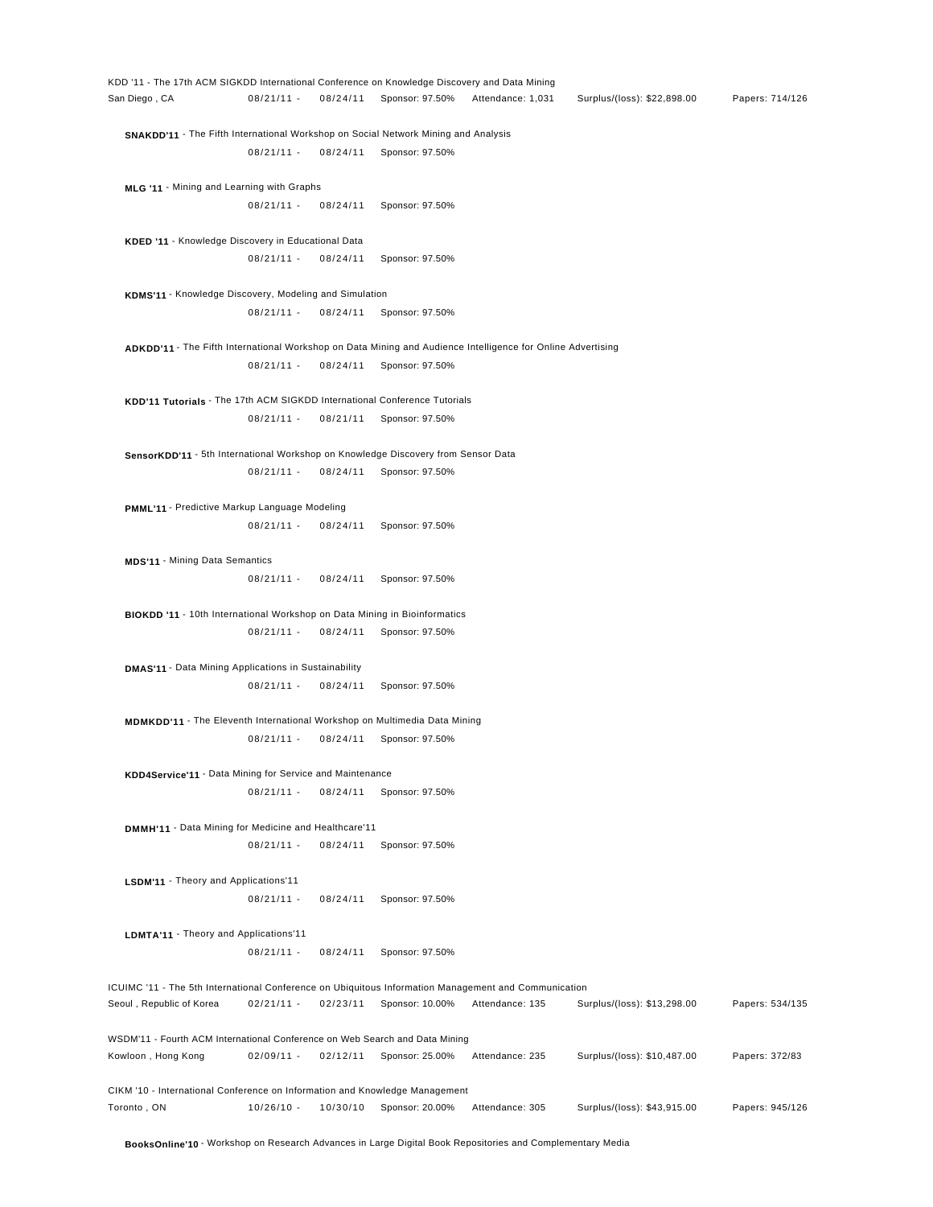KDD '11 - The 17th ACM SIGKDD International Conference on Knowledge Discovery and Data Mining San Diego , CA 08/21/11 - 08/24/11 Sponsor: 97.50% Attendance: 1,031 Surplus/(loss): \$22,898.00 Papers: 714/126 **SNAKDD'11** - The Fifth International Workshop on Social Network Mining and Analysis 08/21/11 - 08/24/11 Sponsor: 97.50% **MLG '11** - Mining and Learning with Graphs 08/21/11 - 08/24/11 Sponsor: 97.50% **KDED '11** - Knowledge Discovery in Educational Data 08/21/11 - 08/24/11 Sponsor: 97.50% **KDMS'11** - Knowledge Discovery, Modeling and Simulation 08/21/11 - 08/24/11 Sponsor: 97.50% **ADKDD'11** - The Fifth International Workshop on Data Mining and Audience Intelligence for Online Advertising 08/21/11 - 08/24/11 Sponsor: 97.50% **KDD'11 Tutorials** - The 17th ACM SIGKDD International Conference Tutorials 08/21/11 - 08/21/11 Sponsor: 97.50% **SensorKDD'11** - 5th International Workshop on Knowledge Discovery from Sensor Data 08/21/11 - 08/24/11 Sponsor: 97.50% **PMML'11** - Predictive Markup Language Modeling 08/21/11 - 08/24/11 Sponsor: 97.50% **MDS'11** - Mining Data Semantics 08/21/11 - 08/24/11 Sponsor: 97.50% **BIOKDD '11** - 10th International Workshop on Data Mining in Bioinformatics 08/21/11 - 08/24/11 Sponsor: 97.50% **DMAS'11** - Data Mining Applications in Sustainability 08/21/11 - 08/24/11 Sponsor: 97.50% **MDMKDD'11** - The Eleventh International Workshop on Multimedia Data Mining 08/21/11 - 08/24/11 Sponsor: 97.50% **KDD4Service'11** - Data Mining for Service and Maintenance 08/21/11 - 08/24/11 Sponsor: 97.50% **DMMH'11** - Data Mining for Medicine and Healthcare'11 08/21/11 - 08/24/11 Sponsor: 97.50% **LSDM'11** - Theory and Applications'11 08/21/11 - 08/24/11 Sponsor: 97.50% **LDMTA'11** - Theory and Applications'11 08/21/11 - 08/24/11 Sponsor: 97.50% ICUIMC '11 - The 5th International Conference on Ubiquitous Information Management and Communication Seoul , Republic of Korea 02/21/11 - 02/23/11 Sponsor: 10.00% Attendance: 135 Surplus/(loss): \$13,298.00 Papers: 534/135 WSDM'11 - Fourth ACM International Conference on Web Search and Data Mining Kowloon , Hong Kong 02/09/11 - 02/12/11 Sponsor: 25.00% Attendance: 235 Surplus/(loss): \$10,487.00 Papers: 372/83 CIKM '10 - International Conference on Information and Knowledge Management Toronto , ON 10/26/10 - 10/30/10 Sponsor: 20.00% Attendance: 305 Surplus/(loss): \$43,915.00 Papers: 945/126

**BooksOnline'10** - Workshop on Research Advances in Large Digital Book Repositories and Complementary Media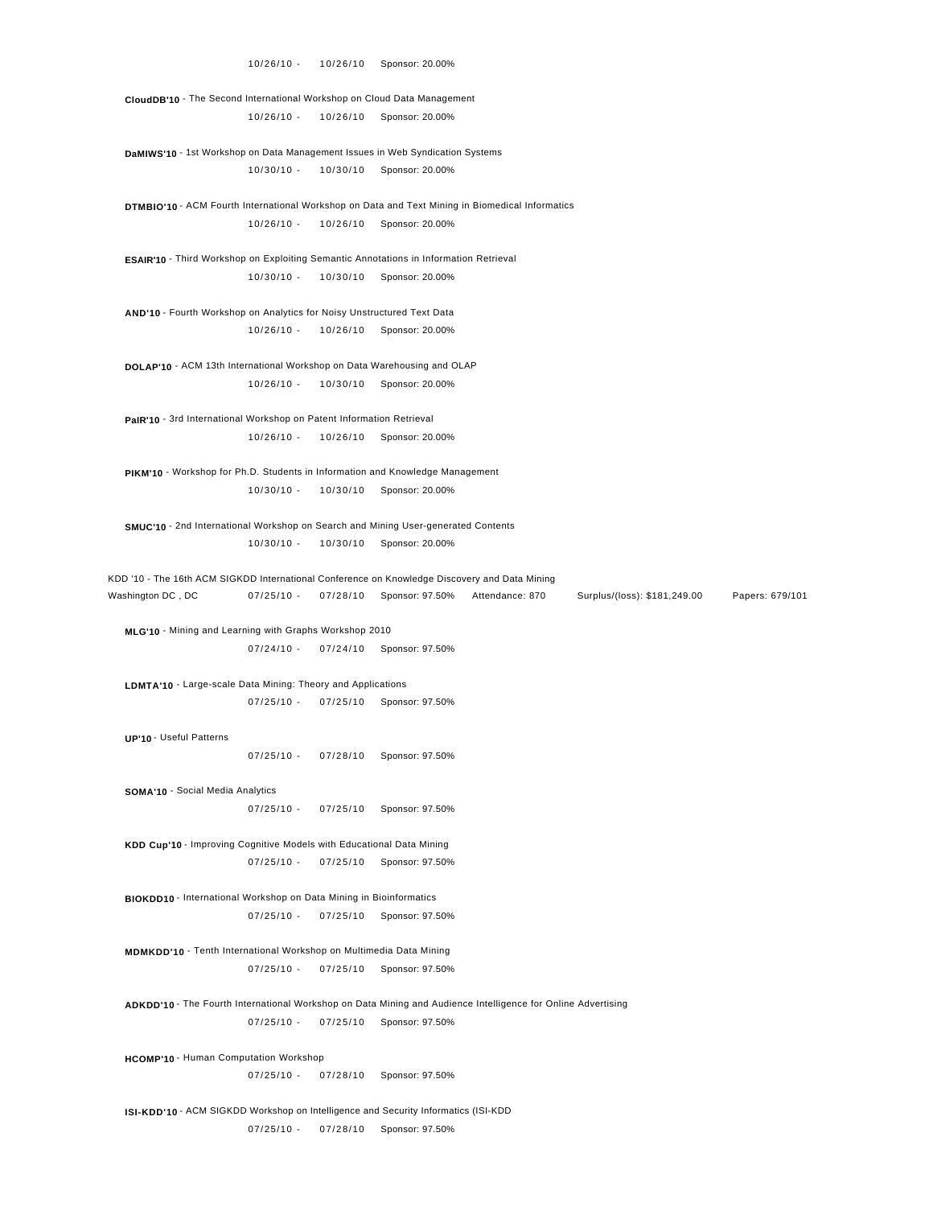**CloudDB'10** - The Second International Workshop on Cloud Data Management 10/26/10 - 10/26/10 Sponsor: 20.00%

 **DaMIWS'10** - 1st Workshop on Data Management Issues in Web Syndication Systems 10/30/10 - 10/30/10 Sponsor: 20.00%

 **DTMBIO'10** - ACM Fourth International Workshop on Data and Text Mining in Biomedical Informatics 10/26/10 - 10/26/10 Sponsor: 20.00%

 **ESAIR'10** - Third Workshop on Exploiting Semantic Annotations in Information Retrieval 10/30/10 - 10/30/10 Sponsor: 20.00%

 **AND'10** - Fourth Workshop on Analytics for Noisy Unstructured Text Data 10/26/10 - 10/26/10 Sponsor: 20.00%

 **DOLAP'10** - ACM 13th International Workshop on Data Warehousing and OLAP 10/26/10 - 10/30/10 Sponsor: 20.00%

 **PaIR'10** - 3rd International Workshop on Patent Information Retrieval 10/26/10 - 10/26/10 Sponsor: 20.00%

PIKM'10 - Workshop for Ph.D. Students in Information and Knowledge Management 10/30/10 - 10/30/10 Sponsor: 20.00%

 **SMUC'10** - 2nd International Workshop on Search and Mining User-generated Contents 10/30/10 - 10/30/10 Sponsor: 20.00%

KDD '10 - The 16th ACM SIGKDD International Conference on Knowledge Discovery and Data Mining Washington DC , DC 07/25/10 - 07/28/10 Sponsor: 97.50% Attendance: 870 Surplus/(loss): \$181,249.00 Papers: 679/101

 **MLG'10** - Mining and Learning with Graphs Workshop 2010 07/24/10 - 07/24/10 Sponsor: 97.50%

 **LDMTA'10** - Large-scale Data Mining: Theory and Applications 07/25/10 - 07/25/10 Sponsor: 97.50%

**UP'10** - Useful Patterns

07/25/10 - 07/28/10 Sponsor: 97.50%

 **SOMA'10** - Social Media Analytics 07/25/10 - 07/25/10 Sponsor: 97.50%

 **KDD Cup'10** - Improving Cognitive Models with Educational Data Mining 07/25/10 - 07/25/10 Sponsor: 97.50%

 **BIOKDD10** - International Workshop on Data Mining in Bioinformatics 07/25/10 - 07/25/10 Sponsor: 97.50%

 **MDMKDD'10** - Tenth International Workshop on Multimedia Data Mining 07/25/10 - 07/25/10 Sponsor: 97.50%

 **ADKDD'10** - The Fourth International Workshop on Data Mining and Audience Intelligence for Online Advertising 07/25/10 - 07/25/10 Sponsor: 97.50%

 **HCOMP'10** - Human Computation Workshop 07/25/10 - 07/28/10 Sponsor: 97.50%

 **ISI-KDD'10** - ACM SIGKDD Workshop on Intelligence and Security Informatics (ISI-KDD 07/25/10 - 07/28/10 Sponsor: 97.50%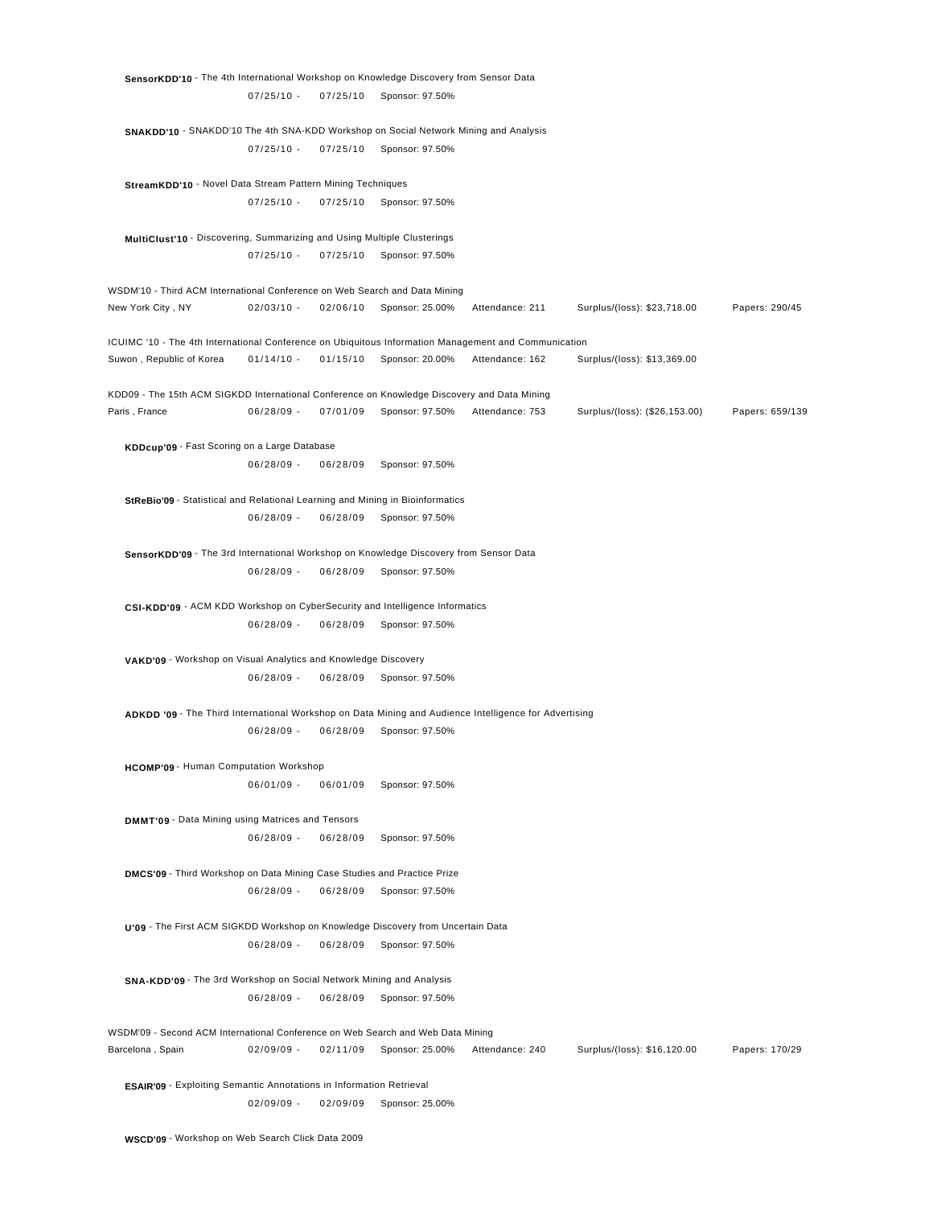**SensorKDD'10** - The 4th International Workshop on Knowledge Discovery from Sensor Data 07/25/10 - 07/25/10 Sponsor: 97.50% **SNAKDD'10** - SNAKDD'10 The 4th SNA-KDD Workshop on Social Network Mining and Analysis 07/25/10 - 07/25/10 Sponsor: 97.50% **StreamKDD'10** - Novel Data Stream Pattern Mining Techniques 07/25/10 - 07/25/10 Sponsor: 97.50% **MultiClust'10** - Discovering, Summarizing and Using Multiple Clusterings 07/25/10 - 07/25/10 Sponsor: 97.50% WSDM'10 - Third ACM International Conference on Web Search and Data Mining New York City , NY 02/03/10 - 02/06/10 Sponsor: 25.00% Attendance: 211 Surplus/(loss): \$23,718.00 Papers: 290/45 ICUIMC '10 - The 4th International Conference on Ubiquitous Information Management and Communication Suwon , Republic of Korea 01/14/10 - 01/15/10 Sponsor: 20.00% Attendance: 162 Surplus/(loss): \$13,369.00 KDD09 - The 15th ACM SIGKDD International Conference on Knowledge Discovery and Data Mining Paris , France **06/28/09 - 07/01/09 Sponsor: 97.50%** Attendance: 753 Surplus/(loss): (\$26,153.00) Papers: 659/139 **KDDcup'09** - Fast Scoring on a Large Database 06/28/09 - 06/28/09 Sponsor: 97.50% **StReBio'09** - Statistical and Relational Learning and Mining in Bioinformatics 06/28/09 - 06/28/09 Sponsor: 97.50% **SensorKDD'09** - The 3rd International Workshop on Knowledge Discovery from Sensor Data 06/28/09 - 06/28/09 Sponsor: 97.50% **CSI-KDD'09** - ACM KDD Workshop on CyberSecurity and Intelligence Informatics 06/28/09 - 06/28/09 Sponsor: 97.50% **VAKD'09** - Workshop on Visual Analytics and Knowledge Discovery 06/28/09 - 06/28/09 Sponsor: 97.50% **ADKDD '09** - The Third International Workshop on Data Mining and Audience Intelligence for Advertising 06/28/09 - 06/28/09 Sponsor: 97.50% **HCOMP'09** - Human Computation Workshop 06/01/09 - 06/01/09 Sponsor: 97.50% **DMMT'09** - Data Mining using Matrices and Tensors 06/28/09 - 06/28/09 Sponsor: 97.50% **DMCS'09** - Third Workshop on Data Mining Case Studies and Practice Prize 06/28/09 - 06/28/09 Sponsor: 97.50% **U'09** - The First ACM SIGKDD Workshop on Knowledge Discovery from Uncertain Data 06/28/09 - 06/28/09 Sponsor: 97.50% **SNA-KDD'09** - The 3rd Workshop on Social Network Mining and Analysis 06/28/09 - 06/28/09 Sponsor: 97.50% WSDM'09 - Second ACM International Conference on Web Search and Web Data Mining Barcelona , Spain 02/09/09 - 02/11/09 Sponsor: 25.00% Attendance: 240 Surplus/(loss): \$16,120.00 Papers: 170/29

 **ESAIR'09** - Exploiting Semantic Annotations in Information Retrieval 02/09/09 - 02/09/09 Sponsor: 25.00%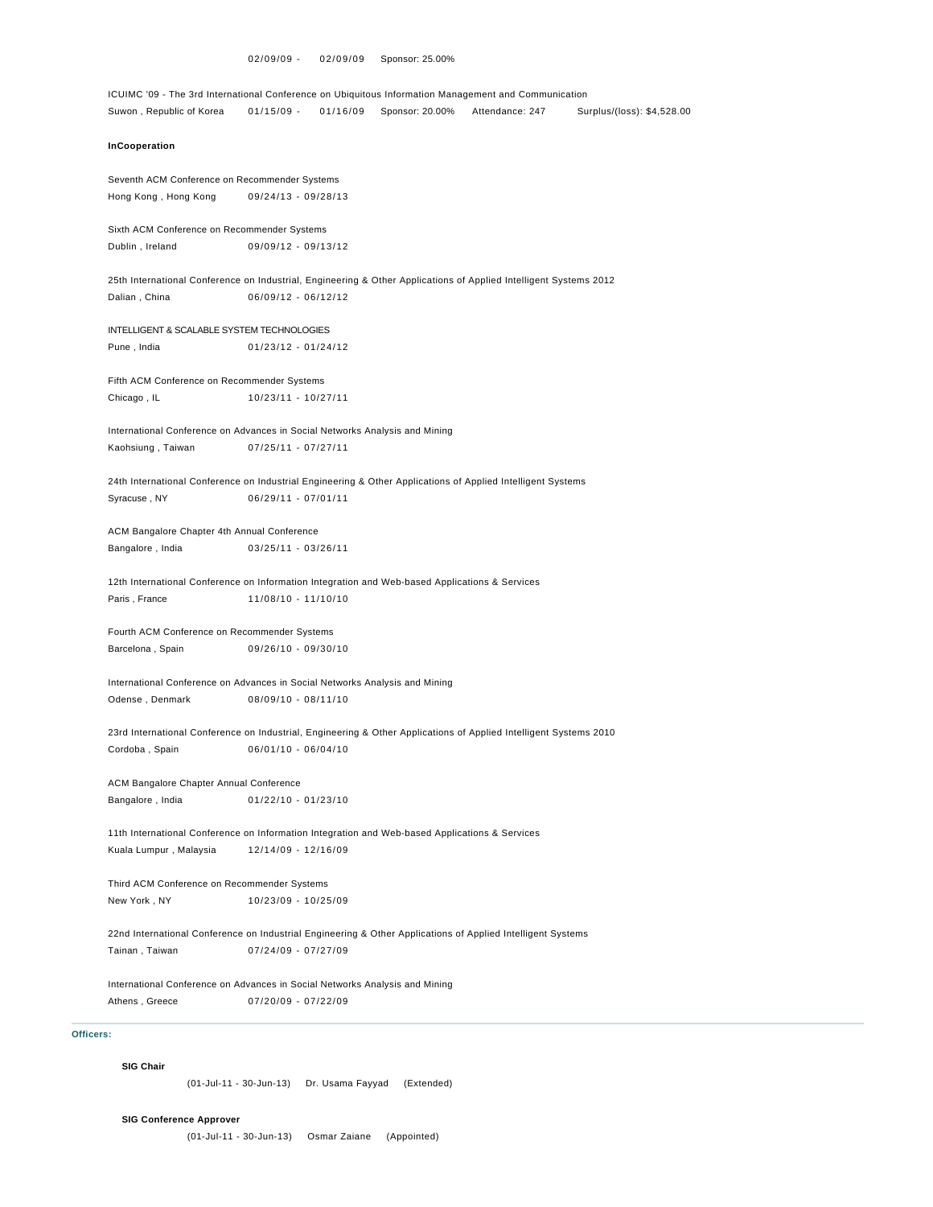```
ICUIMC '09 - The 3rd International Conference on Ubiquitous Information Management and Communication 
Suwon , Republic of Korea 01/15/09 - 01/16/09 Sponsor: 20.00% Attendance: 247 Surplus/(loss): $4,528.00
InCooperation
Seventh ACM Conference on Recommender Systems 
Hong Kong , Hong Kong 09/24/13 - 09/28/13
Sixth ACM Conference on Recommender Systems 
Dublin , Ireland 09/09/12 - 09/13/12
25th International Conference on Industrial, Engineering & Other Applications of Applied Intelligent Systems 2012 
Dalian , China 06/09/12 - 06/12/12
INTELLIGENT & SCALABLE SYSTEM TECHNOLOGIES 
Pune , India 01/23/12 - 01/24/12
Fifth ACM Conference on Recommender Systems 
Chicago , IL 10/23/11 - 10/27/11
International Conference on Advances in Social Networks Analysis and Mining 
Kaohsiung , Taiwan 07/25/11 - 07/27/11
24th International Conference on Industrial Engineering & Other Applications of Applied Intelligent Systems 
Syracuse , NY 06/29/11 - 07/01/11
ACM Bangalore Chapter 4th Annual Conference 
Bangalore , India 03/25/11 - 03/26/11
12th International Conference on Information Integration and Web-based Applications & Services 
Paris, France 11/08/10 - 11/10/10
Fourth ACM Conference on Recommender Systems 
Barcelona , Spain 09/26/10 - 09/30/10
International Conference on Advances in Social Networks Analysis and Mining 
Odense , Denmark 08/09/10 - 08/11/10
23rd International Conference on Industrial, Engineering & Other Applications of Applied Intelligent Systems 2010 
Cordoba , Spain 06/01/10 - 06/04/10
ACM Bangalore Chapter Annual Conference 
Bangalore , India 01/22/10 - 01/23/10
11th International Conference on Information Integration and Web-based Applications & Services 
Kuala Lumpur , Malaysia 12/14/09 - 12/16/09
Third ACM Conference on Recommender Systems 
New York , NY 10/23/09 - 10/25/09
22nd International Conference on Industrial Engineering & Other Applications of Applied Intelligent Systems 
Tainan , Taiwan 07/24/09 - 07/27/09
International Conference on Advances in Social Networks Analysis and Mining 
Athens , Greece 07/20/09 - 07/22/09
```
# **Officers:**

#### **SIG Chair**

(01-Jul-11 - 30-Jun-13) Dr. Usama Fayyad (Extended)

### **SIG Conference Approver**

(01-Jul-11 - 30-Jun-13) Osmar Zaiane (Appointed)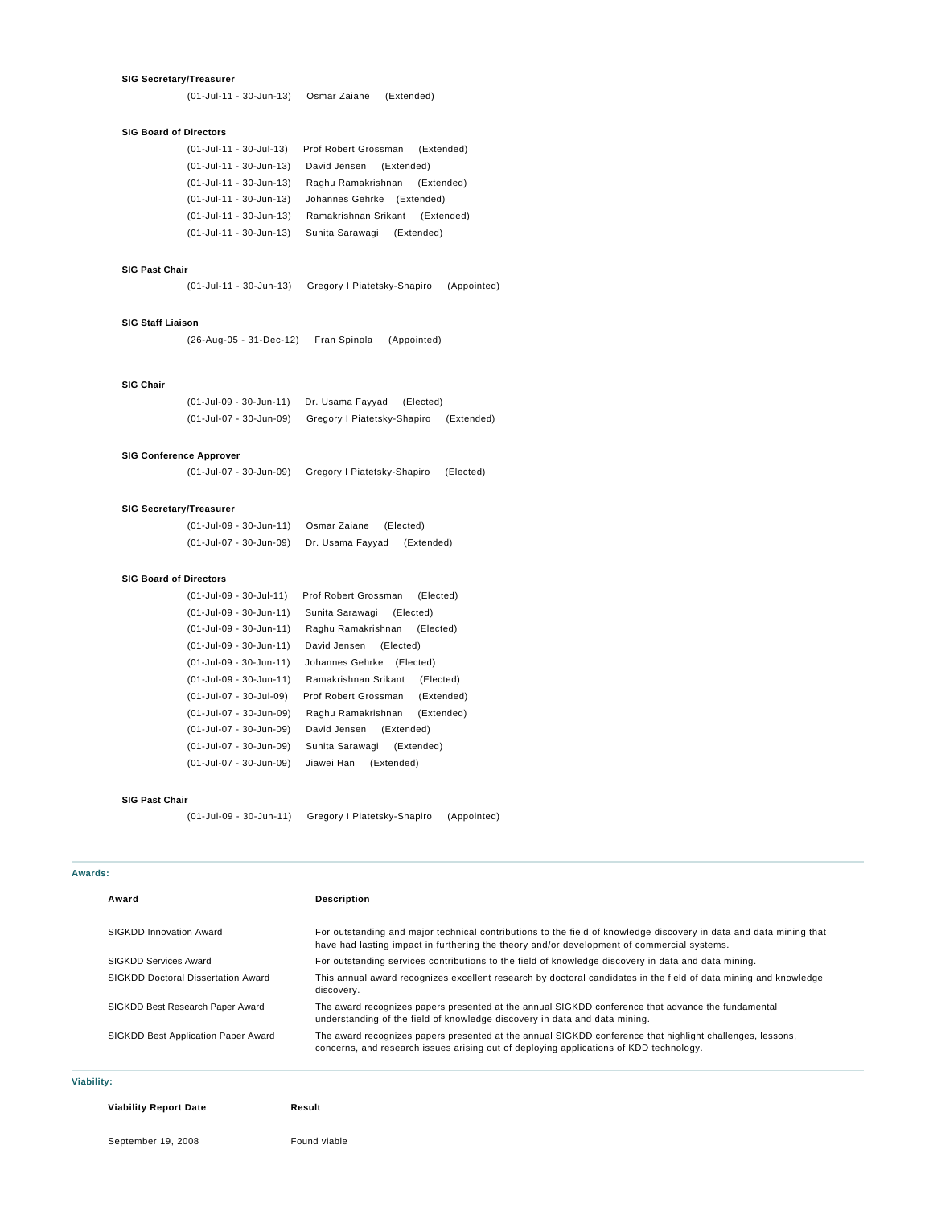#### **SIG Secretary/Treasurer**

(01-Jul-11 - 30-Jun-13) Osmar Zaiane (Extended)

### **SIG Board of Directors**

| (01-Jul-11 - 30-Jul-13) | Prof Robert Grossman<br>(Extended) |
|-------------------------|------------------------------------|
| (01-Jul-11 - 30-Jun-13) | David Jensen<br>(Extended)         |
| (01-Jul-11 - 30-Jun-13) | Raghu Ramakrishnan<br>(Extended)   |
| (01-Jul-11 - 30-Jun-13) | Johannes Gehrke<br>(Extended)      |
| (01-Jul-11 - 30-Jun-13) | Ramakrishnan Srikant<br>(Extended) |
| (01-Jul-11 - 30-Jun-13) | Sunita Sarawagi<br>(Extended)      |

### **SIG Past Chair**

(01-Jul-11 - 30-Jun-13) Gregory I Piatetsky-Shapiro (Appointed)

#### **SIG Staff Liaison**

(26-Aug-05 - 31-Dec-12) Fran Spinola (Appointed)

### **SIG Chair**

(01-Jul-09 - 30-Jun-11) Dr. Usama Fayyad (Elected) (01-Jul-07 - 30-Jun-09) Gregory I Piatetsky-Shapiro (Extended)

### **SIG Conference Approver**

(01-Jul-07 - 30-Jun-09) Gregory I Piatetsky-Shapiro (Elected)

### **SIG Secretary/Treasurer**

| (01-Jul-09 - 30-Jun-11) | Osmar Zaiane     | (Elected)  |
|-------------------------|------------------|------------|
| (01-Jul-07 - 30-Jun-09) | Dr. Usama Fayyad | (Extended) |

### **SIG Board of Directors**

| (01-Jul-09 - 30-Jul-11) | Prof Robert Grossman         | (Elected)  |
|-------------------------|------------------------------|------------|
| (01-Jul-09 - 30-Jun-11) | Sunita Sarawagi<br>(Elected) |            |
| (01-Jul-09 - 30-Jun-11) | Raghu Ramakrishnan           | (Elected)  |
| (01-Jul-09 - 30-Jun-11) | David Jensen<br>(Elected)    |            |
| (01-Jul-09 - 30-Jun-11) | Johannes Gehrke              | (Elected)  |
| (01-Jul-09 - 30-Jun-11) | Ramakrishnan Srikant         | (Elected)  |
| (01-Jul-07 - 30-Jul-09) | Prof Robert Grossman         | (Extended) |
| (01-Jul-07 - 30-Jun-09) | Raghu Ramakrishnan           | (Extended) |
| (01-Jul-07 - 30-Jun-09) | David Jensen<br>(Extended)   |            |
| (01-Jul-07 - 30-Jun-09) | Sunita Sarawagi              | (Extended) |
| (01-Jul-07 - 30-Jun-09) | Jiawei Han<br>(Extended)     |            |
|                         |                              |            |

#### **SIG Past Chair**

(01-Jul-09 - 30-Jun-11) Gregory I Piatetsky-Shapiro (Appointed)

### **Awards:**

| Award                               | <b>Description</b>                                                                                                                                                                                               |
|-------------------------------------|------------------------------------------------------------------------------------------------------------------------------------------------------------------------------------------------------------------|
| SIGKDD Innovation Award             | For outstanding and major technical contributions to the field of knowledge discovery in data and data mining that<br>have had lasting impact in furthering the theory and/or development of commercial systems. |
| SIGKDD Services Award               | For outstanding services contributions to the field of knowledge discovery in data and data mining.                                                                                                              |
| SIGKDD Doctoral Dissertation Award  | This annual award recognizes excellent research by doctoral candidates in the field of data mining and knowledge<br>discovery.                                                                                   |
| SIGKDD Best Research Paper Award    | The award recognizes papers presented at the annual SIGKDD conference that advance the fundamental<br>understanding of the field of knowledge discovery in data and data mining.                                 |
| SIGKDD Best Application Paper Award | The award recognizes papers presented at the annual SIGKDD conference that highlight challenges, lessons,<br>concerns, and research issues arising out of deploying applications of KDD technology.              |

### **Viability:**

**Viability Report Date Result**

September 19, 2008 Found viable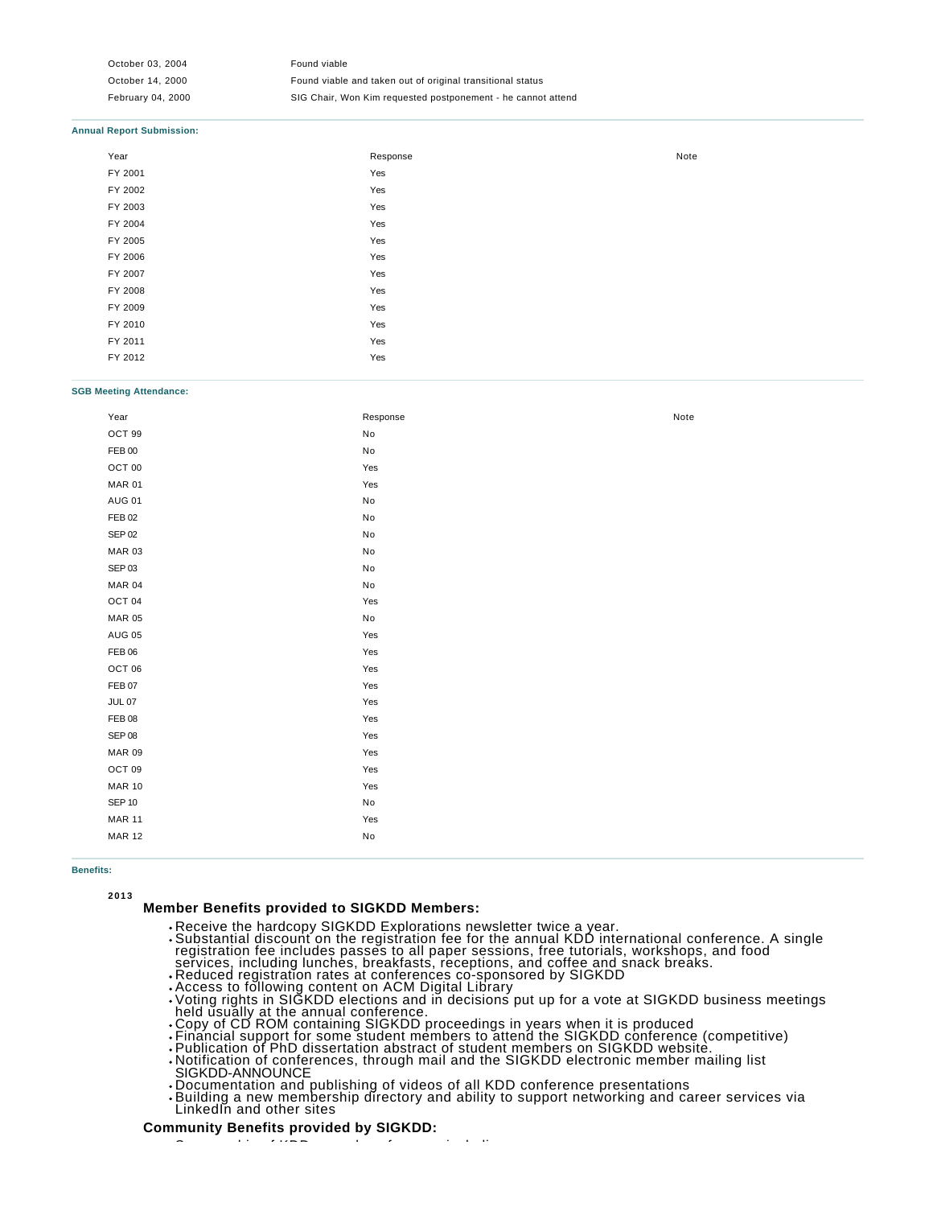October 03, 2004 Found viable October 14, 2000 Found viable and taken out of original transitional status February 04, 2000 SIG Chair, Won Kim requested postponement - he cannot attend

#### **Annual Report Submission:**

| Year    | Response | Note |
|---------|----------|------|
| FY 2001 | Yes      |      |
| FY 2002 | Yes      |      |
| FY 2003 | Yes      |      |
| FY 2004 | Yes      |      |
| FY 2005 | Yes      |      |
| FY 2006 | Yes      |      |
| FY 2007 | Yes      |      |
| FY 2008 | Yes      |      |
| FY 2009 | Yes      |      |
| FY 2010 | Yes      |      |
| FY 2011 | Yes      |      |
| FY 2012 | Yes      |      |

#### **SGB Meeting Attendance:**

| Year              | Response                      | Note |
|-------------------|-------------------------------|------|
| OCT 99            | $\mathsf{No}$                 |      |
| FEB 00            | $\operatorname{\mathsf{No}}$  |      |
| OCT 00            | Yes                           |      |
| <b>MAR 01</b>     | $\operatorname{\mathsf{Yes}}$ |      |
| <b>AUG 01</b>     | No                            |      |
| <b>FEB 02</b>     | $\mathsf{No}$                 |      |
| <b>SEP 02</b>     | $\mathsf{No}$                 |      |
| <b>MAR 03</b>     | $\mathsf{No}$                 |      |
| SEP 03            | $\mathsf{No}$                 |      |
| <b>MAR 04</b>     | $\mathsf{No}$                 |      |
| OCT <sub>04</sub> | Yes                           |      |
| <b>MAR 05</b>     | $\mathsf{No}$                 |      |
| <b>AUG 05</b>     | Yes                           |      |
| FEB 06            | Yes                           |      |
| OCT 06            | Yes                           |      |
| FEB 07            | Yes                           |      |
| $JUL$ 07          | Yes                           |      |
| FEB <sub>08</sub> | Yes                           |      |
| SEP 08            | Yes                           |      |
| <b>MAR 09</b>     | Yes                           |      |
| OCT 09            | Yes                           |      |
| <b>MAR 10</b>     | Yes                           |      |
| <b>SEP 10</b>     | $\operatorname{\mathsf{No}}$  |      |
| <b>MAR 11</b>     | Yes                           |      |
| <b>MAR 12</b>     | $\mathsf{No}$                 |      |
|                   |                               |      |

### **Benefits:**

**2013**

## **Member Benefits provided to SIGKDD Members:**

- Receive the hardcopy SIGKDD Explorations newsletter twice a year.
- Substantial discount on the registration fee for the annual KDD international conference. A single registration fee includes passes to all paper sessions, free tutorials, workshops, and food services, including lunches, breakfasts, receptions, and coffee and snack breaks.
- Reduced registration rates at conferences co-sponsored by SIGKDD Access to following content on ACM Digital Library

Sponsorship of KDD annual conference, including

- Voting rights in SIGKDD elections and in decisions put up for a vote at SIGKDD business meetings held usually at the annual conference.
- Copy of CD ROM containing SIGKDD proceedings in years when it is produced
- Financial support for some student members to attend the SIGKDD conference (competitive)
- Publication of PhD dissertation abstract of student members on SIGKDD website. Notification of conferences, through mail and the SIGKDD electronic member mailing list
- SIGKDD-ANNOUNCE
- Documentation and publishing of videos of all KDD conference presentations
- Building a new membership directory and ability to support networking and career services via LinkedIn and other sites

### **Community Benefits provided by SIGKDD:**